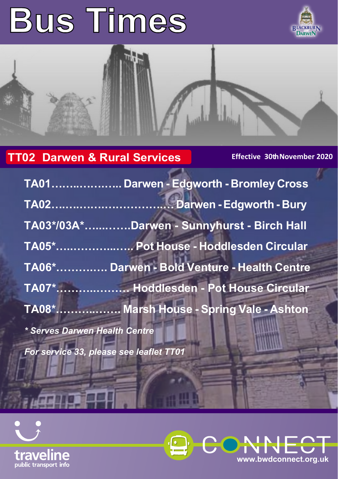# **Bus Times**





# **TT02 Darwen & Rural Services Effective 30th November 2020**

|                                         | TA01 Darwen - Edgworth - Bromley Cross      |
|-----------------------------------------|---------------------------------------------|
|                                         |                                             |
|                                         | TA03*/03A*Darwen - Sunnyhurst - Birch Hall  |
|                                         | TA05* Pot House - Hoddlesden Circular       |
|                                         | TA06* Darwen - Bold Venture - Health Centre |
|                                         | TA07* Hoddlesden - Pot House Circular       |
|                                         | TA08* Marsh House - Spring Vale - Ashton    |
| * Serves Darwen Health Centre           |                                             |
| For service 33, please see leaflet TT01 |                                             |



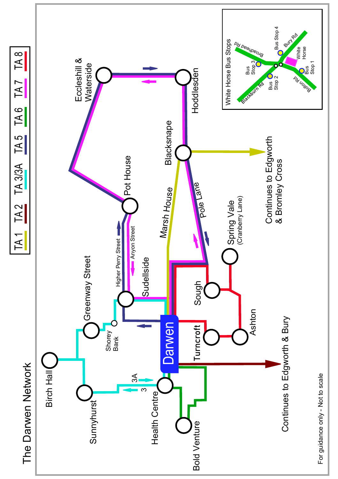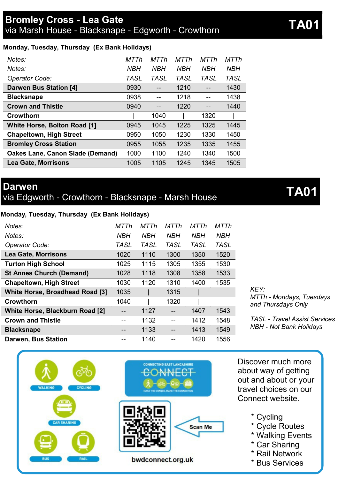### **Monday, Tuesday, Thursday (Ex Bank Holidays)**

| Notes:                                  | MTTh | MTTh | MTTh       | MTTh       | MTTh       |
|-----------------------------------------|------|------|------------|------------|------------|
| Notes:                                  | NBH  | NBH  | <b>NBH</b> | <b>NBH</b> | <b>NBH</b> |
| Operator Code:                          | TASL | TASL | TASL       | TASL       | TASL       |
| Darwen Bus Station [4]                  | 0930 |      | 1210       |            | 1430       |
| <b>Blacksnape</b>                       | 0938 |      | 1218       |            | 1438       |
| <b>Crown and Thistle</b>                | 0940 | --   | 1220       |            | 1440       |
| Crowthorn                               |      | 1040 |            | 1320       |            |
| White Horse, Bolton Road [1]            | 0945 | 1045 | 1225       | 1325       | 1445       |
| <b>Chapeltown, High Street</b>          | 0950 | 1050 | 1230       | 1330       | 1450       |
| <b>Bromley Cross Station</b>            | 0955 | 1055 | 1235       | 1335       | 1455       |
| <b>Oakes Lane, Canon Slade (Demand)</b> | 1000 | 1100 | 1240       | 1340       | 1500       |
| <b>Lea Gate, Morrisons</b>              | 1005 | 1105 | 1245       | 1345       | 1505       |

### **Darwen**

via Edgworth - Crowthorn - Blacksnape - Marsh House **TA01**

### **Monday, Tuesday, Thursday (Ex Bank Holidays)**

| Notes <sup>-</sup>              | MTTh       | MTTh       | MTTh        | MTTh       | <b>MTTh</b> |
|---------------------------------|------------|------------|-------------|------------|-------------|
| Notes:                          | <b>NBH</b> | <b>NBH</b> | <b>NBH</b>  | <b>NBH</b> | <b>NBH</b>  |
| Operator Code:                  | TASL       | TASL       | <b>TASL</b> | TASL       | TASL        |
| <b>Lea Gate, Morrisons</b>      | 1020       | 1110       | 1300        | 1350       | 1520        |
| <b>Turton High School</b>       | 1025       | 1115       | 1305        | 1355       | 1530        |
| <b>St Annes Church (Demand)</b> | 1028       | 1118       | 1308        | 1358       | 1533        |
| <b>Chapeltown, High Street</b>  | 1030       | 1120       | 1310        | 1400       | 1535        |
| White Horse, Broadhead Road [3] | 1035       |            | 1315        |            |             |
| Crowthorn                       | 1040       |            | 1320        |            |             |
| White Horse, Blackburn Road [2] |            | 1127       |             | 1407       | 1543        |
| <b>Crown and Thistle</b>        |            | 1132       |             | 1412       | 1548        |
| <b>Blacksnape</b>               |            | 1133       |             | 1413       | 1549        |
| Darwen, Bus Station             |            | 1140       |             | 1420       | 1556        |

bwdconnect.org.uk

### *KEY: MTTh - Mondays, Tuesdays and Thursdays Only*

*TASL - Travel Assist Services NBH - Not Bank Holidays*



- \* Cycle Routes
- \* Walking Events
- \* Car Sharing

Discover much more about way of getting

- \* Rail Network
- \* Bus Services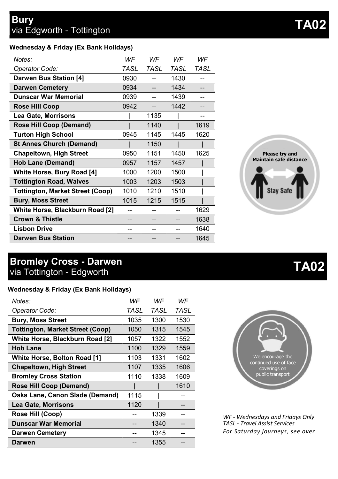| WF   | WF   | WF   | WF   |
|------|------|------|------|
| TASL | TASL | TASL | TASL |
| 0930 |      | 1430 |      |
| 0934 |      | 1434 | --   |
| 0939 |      | 1439 | --   |
| 0942 |      | 1442 | --   |
|      | 1135 |      | --   |
|      | 1140 |      | 1619 |
| 0945 | 1145 | 1445 | 1620 |
|      | 1150 |      |      |
| 0950 | 1151 | 1450 | 1625 |
| 0957 | 1157 | 1457 |      |
| 1000 | 1200 | 1500 |      |
| 1003 | 1203 | 1503 |      |
| 1010 | 1210 | 1510 |      |
| 1015 | 1215 | 1515 |      |
|      |      |      | 1629 |
|      |      |      | 1638 |
|      |      |      | 1640 |
|      |      |      | 1645 |
|      |      |      |      |

### **Bromley Cross - Darwen** via Tottington - Edgworth **TA02**

### **Wednesday & Friday (Ex Bank Holidays)**

| Notes:                                  | WF   | WF   | WF   |
|-----------------------------------------|------|------|------|
| Operator Code:                          | TASL | TASL | TASL |
| <b>Bury, Moss Street</b>                | 1035 | 1300 | 1530 |
| <b>Tottington, Market Street (Coop)</b> | 1050 | 1315 | 1545 |
| White Horse, Blackburn Road [2]         | 1057 | 1322 | 1552 |
| <b>Hob Lane</b>                         | 1100 | 1329 | 1559 |
| White Horse, Bolton Road [1]            | 1103 | 1331 | 1602 |
| <b>Chapeltown, High Street</b>          | 1107 | 1335 | 1606 |
| <b>Bromley Cross Station</b>            | 1110 | 1338 | 1609 |
| Rose Hill Coop (Demand)                 |      |      | 1610 |
| Oaks Lane, Canon Slade (Demand)         | 1115 |      |      |
| <b>Lea Gate, Morrisons</b>              | 1120 |      |      |
| Rose Hill (Coop)                        |      | 1339 |      |
| <b>Dunscar War Memorial</b>             |      | 1340 |      |
| <b>Darwen Cemetery</b>                  |      | 1345 |      |
| Darwen                                  |      | 1355 |      |





*WF - Wednesdays and Fridays Only TASL - Travel Assist Services For Saturday journeys, see over*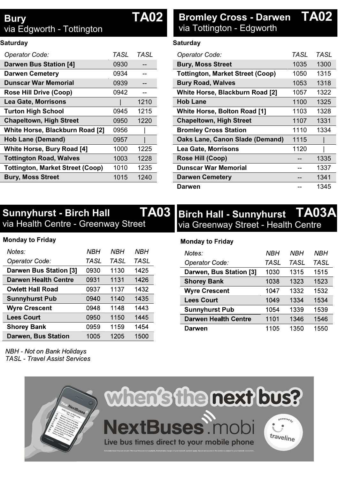### **Bury** via Edgworth - Tottington

### **Saturday**

| Operator Code:                          | TASI | TASL |
|-----------------------------------------|------|------|
| <b>Darwen Bus Station [4]</b>           | 0930 |      |
| <b>Darwen Cemetery</b>                  | 0934 |      |
| Dunscar War Memorial                    | 0939 |      |
| Rose Hill Drive (Coop)                  | 0942 | --   |
| <b>Lea Gate, Morrisons</b>              |      | 1210 |
| <b>Turton High School</b>               | 0945 | 1215 |
| <b>Chapeltown, High Street</b>          | 0950 | 1220 |
| White Horse, Blackburn Road [2]         | 0956 |      |
| Hob Lane (Demand)                       | 0957 |      |
| White Horse, Bury Road [4]              | 1000 | 1225 |
| <b>Tottington Road, Walves</b>          | 1003 | 1228 |
| <b>Tottington, Market Street (Coop)</b> | 1010 | 1235 |
| <b>Bury, Moss Street</b>                | 1015 | 1240 |
|                                         |      |      |

# **TA02 Bromley Cross - Darwen TA02** via Tottington - Edgworth

### **Saturday**

| Operator Code:                          | TASL | TASI |
|-----------------------------------------|------|------|
| <b>Bury, Moss Street</b>                | 1035 | 1300 |
| <b>Tottington, Market Street (Coop)</b> | 1050 | 1315 |
| <b>Bury Road, Walves</b>                | 1053 | 1318 |
| White Horse, Blackburn Road [2]         | 1057 | 1322 |
| <b>Hob Lane</b>                         | 1100 | 1325 |
| White Horse, Bolton Road [1]            | 1103 | 1328 |
| <b>Chapeltown, High Street</b>          | 1107 | 1331 |
| <b>Bromley Cross Station</b>            | 1110 | 1334 |
| Oaks Lane, Canon Slade (Demand)         | 1115 |      |
| <b>Lea Gate, Morrisons</b>              | 1120 |      |
| Rose Hill (Coop)                        |      | 1335 |
| Dunscar War Memorial                    |      | 1337 |
| <b>Darwen Cemetery</b>                  | --   | 1341 |
| Darwen                                  |      | 1345 |

### **Sunnyhurst - Birch Hall** via Health Centre - Greenway Street

### **Monday to Friday**

| Notes:                  | NBH  | NBH  | NBH  |
|-------------------------|------|------|------|
| Operator Code:          | TASL | TASL | TASL |
| Darwen Bus Station [3]  | 0930 | 1130 | 1425 |
| Darwen Health Centre    | 0931 | 1131 | 1426 |
| <b>Owlett Hall Road</b> | 0937 | 1137 | 1432 |
| <b>Sunnyhurst Pub</b>   | 0940 | 1140 | 1435 |
| <b>Wyre Crescent</b>    | 0948 | 1148 | 1443 |
| <b>Lees Court</b>       | 0950 | 1150 | 1445 |
| <b>Shorey Bank</b>      | 0959 | 1159 | 1454 |
| Darwen, Bus Station     | 1005 | 1205 | 1500 |
|                         |      |      |      |

# **TA03 Birch Hall - Sunnyhurst TA03A** via Greenway Street - Health Centre

### **Monday to Friday**

| Notes:                  | NBH  | NBH  | NBH  |
|-------------------------|------|------|------|
| Operator Code:          | TASL | TASL | TASL |
| Darwen, Bus Station [3] | 1030 | 1315 | 1515 |
| <b>Shorey Bank</b>      | 1038 | 1323 | 1523 |
| <b>Wyre Crescent</b>    | 1047 | 1332 | 1532 |
| <b>Lees Court</b>       | 1049 | 1334 | 1534 |
| <b>Sunnyhurst Pub</b>   | 1054 | 1339 | 1539 |
| Darwen Health Centre    | 1101 | 1346 | 1546 |
| Darwen                  | 1105 | 1350 | 1550 |

NBH - Not on Bank Holidavs **TASL** - Travel Assist Services

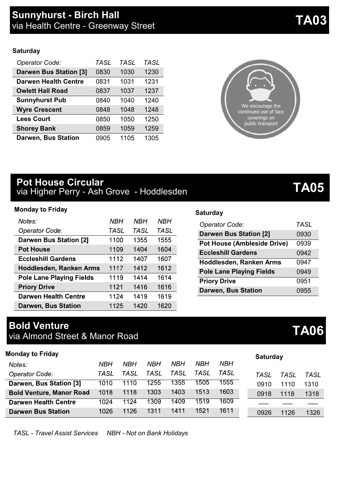#### **Saturday**

| Operator Code:                | TASL | <b>TASL</b> | TASL |
|-------------------------------|------|-------------|------|
| <b>Darwen Bus Station [3]</b> | 0830 | 1030        | 1230 |
| <b>Darwen Health Centre</b>   | 0831 | 1031        | 1231 |
| <b>Owlett Hall Road</b>       | 0837 | 1037        | 1237 |
| <b>Sunnyhurst Pub</b>         | 0840 | 1040        | 1240 |
| <b>Wyre Crescent</b>          | 0848 | 1048        | 1248 |
| <b>Lees Court</b>             | 0850 | 1050        | 1250 |
| <b>Shorey Bank</b>            | 0859 | 1059        | 1259 |
| Darwen, Bus Station           | 0905 | 1105        | 1305 |

### **Pot House Circular** via Higher Perry - Ash Grove - Hoddlesden **TA05**

#### **Monday to Friday**

| Notes:                          | NBH  | NBH  | NBH         |
|---------------------------------|------|------|-------------|
| Operator Code:                  | TASL | TASL | <b>TASL</b> |
| Darwen Bus Station [2]          | 1100 | 1355 | 1555        |
| <b>Pot House</b>                | 1109 | 1404 | 1604        |
| <b>Eccleshill Gardens</b>       | 1112 | 1407 | 1607        |
| Hoddlesden, Ranken Arms         | 1117 | 1412 | 1612        |
| <b>Pole Lane Playing Fields</b> | 1119 | 1414 | 1614        |
| <b>Priory Drive</b>             | 1121 | 1416 | 1616        |
| <b>Darwen Health Centre</b>     | 1124 | 1419 | 1619        |
| Darwen, Bus Station             | 1125 | 1420 | 1620        |

# **Bold Venture**

| poid veliture                  | <b>TA06</b> |
|--------------------------------|-------------|
| via Almond Street & Manor Road |             |

| <b>Monday to Friday</b>         |      |      |      |      |      |      | Saturday |      |            |
|---------------------------------|------|------|------|------|------|------|----------|------|------------|
| Notes:                          | NBH  | NBH  | NBH  | NBH  | NBH  | NBH  |          |      |            |
| Operator Code:                  | TASL | TASL | TASL | TASL | TASL | TASL | TASL     | TASL | <b>TAS</b> |
| Darwen, Bus Station [3]         | 1010 | 1110 | 1255 | 1355 | 1505 | 1555 | 0910     | 1110 | 1310       |
| <b>Bold Venture, Manor Road</b> | 1018 | 1118 | 1303 | 1403 | 1513 | 1603 | 0918     | 1118 | 1318       |
| Darwen Health Centre            | 1024 | 1124 | 1309 | 1409 | 1519 | 1609 |          |      |            |
| <b>Darwen Bus Station</b>       | 1026 | 1126 | 1311 | 1411 | 1521 | 1611 | 0926     | 1126 | 132        |

*TASL - Travel Assist Services NBH - Not on Bank Holidays*

| We encourage the<br>continued use of face<br>coverings on |  |
|-----------------------------------------------------------|--|
| public transport                                          |  |
|                                                           |  |

### **Saturday**

| Operator Code:                     | TASL |
|------------------------------------|------|
| Darwen Bus Station [2]             | 0930 |
| <b>Pot House (Ambleside Drive)</b> | 0939 |
| <b>Eccleshill Gardens</b>          | 0942 |
| Hoddlesden, Ranken Arms            | 0947 |
| <b>Pole Lane Playing Fields</b>    | 0949 |
| <b>Priory Drive</b>                | 0951 |
| Darwen, Bus Station                | 0955 |

| TASL | TASL | TASL |
|------|------|------|
| 0910 | 1110 | 1310 |
| 0918 | 1118 | 1318 |
|      |      |      |
| 0926 | 1126 | 1326 |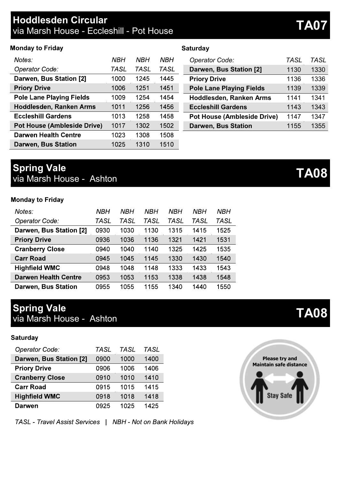### **Hoddlesden Circular** via Marsh House - Eccleshill - Pot House **TA07**

### **Monday to Friday**

| Notes:                             | NBH  | NBH  | NBH  |
|------------------------------------|------|------|------|
| Operator Code:                     | TASL | TASL | TASL |
| Darwen, Bus Station [2]            | 1000 | 1245 | 1445 |
| <b>Priory Drive</b>                | 1006 | 1251 | 1451 |
| <b>Pole Lane Playing Fields</b>    | 1009 | 1254 | 1454 |
| Hoddlesden, Ranken Arms            | 1011 | 1256 | 1456 |
| <b>Eccleshill Gardens</b>          | 1013 | 1258 | 1458 |
| <b>Pot House (Ambleside Drive)</b> | 1017 | 1302 | 1502 |
| Darwen Health Centre               | 1023 | 1308 | 1508 |
| Darwen, Bus Station                | 1025 | 1310 | 1510 |

#### **Saturday**

| Operator Code:                     | TASL | TASL |
|------------------------------------|------|------|
| Darwen, Bus Station [2]            | 1130 | 1330 |
| <b>Priory Drive</b>                | 1136 | 1336 |
| <b>Pole Lane Playing Fields</b>    | 1139 | 1339 |
| Hoddlesden, Ranken Arms            | 1141 | 1341 |
| <b>Eccleshill Gardens</b>          | 1143 | 1343 |
| <b>Pot House (Ambleside Drive)</b> | 1147 | 1347 |
| Darwen, Bus Station                | 1155 | 1355 |

### **Spring Vale Spring Vale**<br>via Marsh House - Ashton

#### **Monday to Friday**

| Notes:                      | NBH  | NBH  | NBH  | NBH  | NBH  | NBH  |
|-----------------------------|------|------|------|------|------|------|
| Operator Code:              | TASL | TASL | TASL | TASL | TASL | TASL |
| Darwen, Bus Station [2]     | 0930 | 1030 | 1130 | 1315 | 1415 | 1525 |
| <b>Priory Drive</b>         | 0936 | 1036 | 1136 | 1321 | 1421 | 1531 |
| <b>Cranberry Close</b>      | 0940 | 1040 | 1140 | 1325 | 1425 | 1535 |
| <b>Carr Road</b>            | 0945 | 1045 | 1145 | 1330 | 1430 | 1540 |
| <b>Highfield WMC</b>        | 0948 | 1048 | 1148 | 1333 | 1433 | 1543 |
| <b>Darwen Health Centre</b> | 0953 | 1053 | 1153 | 1338 | 1438 | 1548 |
| Darwen, Bus Station         | 0955 | 1055 | 1155 | 1340 | 1440 | 1550 |

# **Spring Vale**

**Spring vale**<br>via Marsh House - Ashton **TA08** 

### Saturday

| Operator Code:          | TASL | TA SI | TASL |
|-------------------------|------|-------|------|
| Darwen, Bus Station [2] | 0900 | 1000  | 1400 |
| <b>Priory Drive</b>     | 0906 | 1006  | 1406 |
| <b>Cranberry Close</b>  | 0910 | 1010  | 1410 |
| <b>Carr Road</b>        | 0915 | 1015  | 1415 |
| <b>Highfield WMC</b>    | 0918 | 1018  | 1418 |
| Darwen                  | 0925 | 1025  | 1425 |

TASL - Travel Assist Services | NBH - Not on Bank Holidays